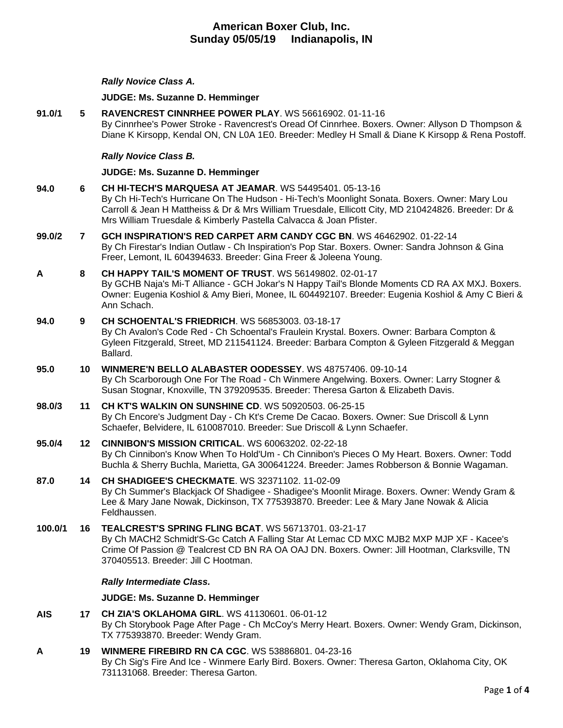### *Rally Novice Class A.*

#### **JUDGE: [Ms. Suzanne D. Hemminger](http://infodog.com/show/judge/jdgprofile.htm?jn=15146)**

**91.0/1 5 [RAVENCREST CINNRHEE POWER PLAY](http://infodog.com/my/drlookup2.htm?makc=WS%2056616902&mdog=Ravencrest+Cinnrhee+Power+Play&wins=all)**. WS 56616902. 01-11-16 By Cinnrhee's Power Stroke - Ravencrest's Oread Of Cinnrhee. Boxers. Owner: Allyson D Thompson & Diane K Kirsopp, Kendal ON, CN L0A 1E0. Breeder: Medley H Small & Diane K Kirsopp & Rena Postoff.

### *Rally Novice Class B.*

#### **JUDGE: [Ms. Suzanne D. Hemminger](http://infodog.com/show/judge/jdgprofile.htm?jn=15146)**

**94.0 6 [CH HI-TECH'S MARQUESA AT JEAMAR](http://infodog.com/my/drlookup2.htm?makc=WS%2054495401&mdog=Ch+Hi-Tech%27s+Marquesa+At+Jeamar&wins=all)**. WS 54495401. 05-13-16 By Ch Hi-Tech's Hurricane On The Hudson - Hi-Tech's Moonlight Sonata. Boxers. Owner: Mary Lou Carroll & Jean H Mattheiss & Dr & Mrs William Truesdale, Ellicott City, MD 210424826. Breeder: Dr & Mrs William Truesdale & Kimberly Pastella Calvacca & Joan Pfister. **99.0/2 7 [GCH INSPIRATION'S RED CARPET ARM CANDY CGC BN](http://infodog.com/my/drlookup2.htm?makc=WS%2046462902&mdog=GCH+Inspiration%27s+Red+Carpet+Arm+Candy+CGC+BN&wins=all)**. WS 46462902. 01-22-14 By Ch Firestar's Indian Outlaw - Ch Inspiration's Pop Star. Boxers. Owner: Sandra Johnson & Gina Freer, Lemont, IL 604394633. Breeder: Gina Freer & Joleena Young. **A 8 [CH HAPPY TAIL'S MOMENT OF TRUST](http://infodog.com/my/drlookup2.htm?makc=WS%2056149802&mdog=Ch+Happy+Tail%27s+Moment+Of+Trust&wins=all)**. WS 56149802. 02-01-17 By GCHB Naja's Mi-T Alliance - GCH Jokar's N Happy Tail's Blonde Moments CD RA AX MXJ. Boxers. Owner: Eugenia Koshiol & Amy Bieri, Monee, IL 604492107. Breeder: Eugenia Koshiol & Amy C Bieri & Ann Schach.

## **94.0 9 [CH SCHOENTAL'S FRIEDRICH](http://infodog.com/my/drlookup2.htm?makc=WS%2056853003&mdog=Ch+Schoental%27s+Friedrich&wins=all)**. WS 56853003. 03-18-17

By Ch Avalon's Code Red - Ch Schoental's Fraulein Krystal. Boxers. Owner: Barbara Compton & Gyleen Fitzgerald, Street, MD 211541124. Breeder: Barbara Compton & Gyleen Fitzgerald & Meggan Ballard.

- **95.0 10 [WINMERE'N BELLO ALABASTER OODESSEY](http://infodog.com/my/drlookup2.htm?makc=WS%2048757406&mdog=Winmere%27N+Bello+Alabaster+Oodessey&wins=all)**. WS 48757406. 09-10-14 By Ch Scarborough One For The Road - Ch Winmere Angelwing. Boxers. Owner: Larry Stogner & Susan Stognar, Knoxville, TN 379209535. Breeder: Theresa Garton & Elizabeth Davis.
- **98.0/3 11 [CH KT'S WALKIN ON SUNSHINE CD](http://infodog.com/my/drlookup2.htm?makc=WS%2050920503&mdog=Ch+KT%27s+Walkin+On+Sunshine+CD&wins=all)**. WS 50920503. 06-25-15 By Ch Encore's Judgment Day - Ch Kt's Creme De Cacao. Boxers. Owner: Sue Driscoll & Lynn Schaefer, Belvidere, IL 610087010. Breeder: Sue Driscoll & Lynn Schaefer.
- **95.0/4 12 [CINNIBON'S MISSION CRITICAL](http://infodog.com/my/drlookup2.htm?makc=WS%2060063202&mdog=Cinnibon%27s+Mission+Critical&wins=all)**. WS 60063202. 02-22-18 By Ch Cinnibon's Know When To Hold'Um - Ch Cinnibon's Pieces O My Heart. Boxers. Owner: Todd Buchla & Sherry Buchla, Marietta, GA 300641224. Breeder: James Robberson & Bonnie Wagaman.
- **87.0 14 [CH SHADIGEE'S CHECKMATE](http://infodog.com/my/drlookup2.htm?makc=WS%2032371102&mdog=Ch+Shadigee%27s+Checkmate&wins=all)**. WS 32371102. 11-02-09 By Ch Summer's Blackjack Of Shadigee - Shadigee's Moonlit Mirage. Boxers. Owner: Wendy Gram & Lee & Mary Jane Nowak, Dickinson, TX 775393870. Breeder: Lee & Mary Jane Nowak & Alicia Feldhaussen.
- **100.0/1 16 [TEALCREST'S SPRING FLING BCAT](http://infodog.com/my/drlookup2.htm?makc=WS%2056713701&mdog=Tealcrest%27s+Spring+Fling+BCAT&wins=all)**. WS 56713701. 03-21-17 By Ch MACH2 Schmidt'S-Gc Catch A Falling Star At Lemac CD MXC MJB2 MXP MJP XF - Kacee's Crime Of Passion @ Tealcrest CD BN RA OA OAJ DN. Boxers. Owner: Jill Hootman, Clarksville, TN 370405513. Breeder: Jill C Hootman.

#### *Rally Intermediate Class.*

#### **JUDGE: [Ms. Suzanne D. Hemminger](http://infodog.com/show/judge/jdgprofile.htm?jn=15146)**

- **AIS 17 [CH ZIA'S OKLAHOMA GIRL](http://infodog.com/my/drlookup2.htm?makc=WS%2041130601&mdog=Ch+Zia%27s+Oklahoma+Girl&wins=all)**. WS 41130601. 06-01-12 By Ch Storybook Page After Page - Ch McCoy's Merry Heart. Boxers. Owner: Wendy Gram, Dickinson, TX 775393870. Breeder: Wendy Gram.
- **A 19 [WINMERE FIREBIRD RN CA CGC](http://infodog.com/my/drlookup2.htm?makc=WS%2053886801&mdog=Winmere+Firebird+RN+CA+CGC&wins=all)**. WS 53886801. 04-23-16 By Ch Sig's Fire And Ice - Winmere Early Bird. Boxers. Owner: Theresa Garton, Oklahoma City, OK 731131068. Breeder: Theresa Garton.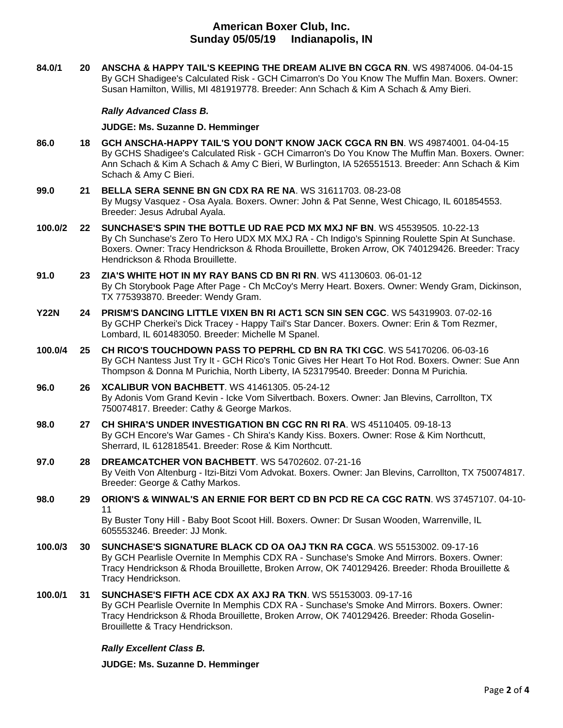**84.0/1 20 [ANSCHA & HAPPY TAIL'S KEEPING THE DREAM ALIVE BN CGCA](http://infodog.com/my/drlookup2.htm?makc=WS%2049874006&mdog=Anscha+&+Happy+Tail%27s+Keeping+The+Dream+Alive+BN+CGCA+RN&wins=all) RN**. WS 49874006. 04-04-15 By GCH Shadigee's Calculated Risk - GCH Cimarron's Do You Know The Muffin Man. Boxers. Owner: Susan Hamilton, Willis, MI 481919778. Breeder: Ann Schach & Kim A Schach & Amy Bieri.

### *Rally Advanced Class B.*

### **JUDGE: [Ms. Suzanne D. Hemminger](http://infodog.com/show/judge/jdgprofile.htm?jn=15146)**

- **86.0 18 [GCH ANSCHA-HAPPY TAIL'S YOU DON'T KNOW JACK CGCA RN BN](http://infodog.com/my/drlookup2.htm?makc=WS%2049874001&mdog=GCH+Anscha-Happy+Tail%27s+You+Don%27t+Know+Jack+CGCA+RN+BN&wins=all)**. WS 49874001. 04-04-15 By GCHS Shadigee's Calculated Risk - GCH Cimarron's Do You Know The Muffin Man. Boxers. Owner: Ann Schach & Kim A Schach & Amy C Bieri, W Burlington, IA 526551513. Breeder: Ann Schach & Kim Schach & Amy C Bieri.
- **99.0 21 [BELLA SERA SENNE BN GN CDX RA RE NA](http://infodog.com/my/drlookup2.htm?makc=WS%2031611703&mdog=Bella+Sera+Senne+BN+GN+CDX+RA+RE+NA&wins=all)**. WS 31611703. 08-23-08 By Mugsy Vasquez - Osa Ayala. Boxers. Owner: John & Pat Senne, West Chicago, IL 601854553. Breeder: Jesus Adrubal Ayala.
- **100.0/2 22 [SUNCHASE'S SPIN THE BOTTLE UD RAE PCD MX MXJ NF BN](http://infodog.com/my/drlookup2.htm?makc=WS%2045539505&mdog=Sunchase%27s+Spin+The+Bottle+UD+RAE+PCD+MX+MXJ+NF+BN&wins=all)**. WS 45539505. 10-22-13 By Ch Sunchase's Zero To Hero UDX MX MXJ RA - Ch Indigo's Spinning Roulette Spin At Sunchase. Boxers. Owner: Tracy Hendrickson & Rhoda Brouillette, Broken Arrow, OK 740129426. Breeder: Tracy Hendrickson & Rhoda Brouillette.
- **91.0 23 [ZIA'S WHITE HOT IN MY RAY BANS CD BN RI RN](http://infodog.com/my/drlookup2.htm?makc=WS%2041130603&mdog=Zia%27s+White+Hot+In+My+Ray+Bans+CD+BN+RI+RN&wins=all)**. WS 41130603. 06-01-12 By Ch Storybook Page After Page - Ch McCoy's Merry Heart. Boxers. Owner: Wendy Gram, Dickinson, TX 775393870. Breeder: Wendy Gram.
- **Y22N 24 [PRISM'S DANCING LITTLE VIXEN BN RI ACT1 SCN SIN SEN CGC](http://infodog.com/my/drlookup2.htm?makc=WS%2054319903&mdog=Prism%27s+Dancing+Little+Vixen+BN+RI+ACT1+SCN+SIN+SEN+CGC&wins=all)**. WS 54319903. 07-02-16 By GCHP Cherkei's Dick Tracey - Happy Tail's Star Dancer. Boxers. Owner: Erin & Tom Rezmer, Lombard, IL 601483050. Breeder: Michelle M Spanel.
- **100.0/4 25 [CH RICO'S TOUCHDOWN PASS TO PEPRHL CD BN RA TKI CGC](http://infodog.com/my/drlookup2.htm?makc=WS%2054170206&mdog=Ch+Rico%27s+Touchdown+Pass+To+Peprhl+CD+BN+RA+TKI+CGC&wins=all)**. WS 54170206. 06-03-16 By GCH Nantess Just Try It - GCH Rico's Tonic Gives Her Heart To Hot Rod. Boxers. Owner: Sue Ann Thompson & Donna M Purichia, North Liberty, IA 523179540. Breeder: Donna M Purichia.
- **96.0 26 [XCALIBUR VON BACHBETT](http://infodog.com/my/drlookup2.htm?makc=WS%2041461305&mdog=Xcalibur+Von+Bachbett&wins=all)**. WS 41461305. 05-24-12 By Adonis Vom Grand Kevin - Icke Vom Silvertbach. Boxers. Owner: Jan Blevins, Carrollton, TX 750074817. Breeder: Cathy & George Markos.
- **98.0 27 [CH SHIRA'S UNDER INVESTIGATION BN CGC RN RI RA](http://infodog.com/my/drlookup2.htm?makc=WS%2045110405&mdog=Ch+Shira%27s+Under+Investigation+BN+CGC+RN+RI+RA&wins=all)**. WS 45110405. 09-18-13 By GCH Encore's War Games - Ch Shira's Kandy Kiss. Boxers. Owner: Rose & Kim Northcutt, Sherrard, IL 612818541. Breeder: Rose & Kim Northcutt.
- **97.0 28 [DREAMCATCHER VON BACHBETT](http://infodog.com/my/drlookup2.htm?makc=WS%2054702602&mdog=Dreamcatcher+Von+Bachbett&wins=all)**. WS 54702602. 07-21-16 By Veith Von Altenburg - Itzi-Bitzi Vom Advokat. Boxers. Owner: Jan Blevins, Carrollton, TX 750074817. Breeder: George & Cathy Markos.
- **98.0 29 [ORION'S & WINWAL'S AN ERNIE FOR BERT CD BN PCD RE CA CGC RATN](http://infodog.com/my/drlookup2.htm?makc=WS%2037457107&mdog=Orion%27s+&+Winwal%27s+An+Ernie+For+Bert+CD+BN+PCD+RE+CA+CGC+RATN&wins=all)**. WS 37457107. 04-10- 11 By Buster Tony Hill - Baby Boot Scoot Hill. Boxers. Owner: Dr Susan Wooden, Warrenville, IL 605553246. Breeder: JJ Monk.
- **100.0/3 30 [SUNCHASE'S SIGNATURE BLACK CD OA OAJ TKN RA CGCA](http://infodog.com/my/drlookup2.htm?makc=WS%2055153002&mdog=Sunchase%27s+Signature+Black+CD+OA+OAJ+TKN+RA+CGCA&wins=all)**. WS 55153002. 09-17-16 By GCH Pearlisle Overnite In Memphis CDX RA - Sunchase's Smoke And Mirrors. Boxers. Owner: Tracy Hendrickson & Rhoda Brouillette, Broken Arrow, OK 740129426. Breeder: Rhoda Brouillette & Tracy Hendrickson.
- **100.0/1 31 [SUNCHASE'S FIFTH ACE CDX AX AXJ RA TKN](http://infodog.com/my/drlookup2.htm?makc=WS%2055153003&mdog=Sunchase%27s+Fifth+Ace+CDX+AX+AXJ+RA+TKN&wins=all)**. WS 55153003. 09-17-16 By GCH Pearlisle Overnite In Memphis CDX RA - Sunchase's Smoke And Mirrors. Boxers. Owner: Tracy Hendrickson & Rhoda Brouillette, Broken Arrow, OK 740129426. Breeder: Rhoda Goselin-Brouillette & Tracy Hendrickson.

## *Rally Excellent Class B.*

**JUDGE: [Ms. Suzanne D. Hemminger](http://infodog.com/show/judge/jdgprofile.htm?jn=15146)**